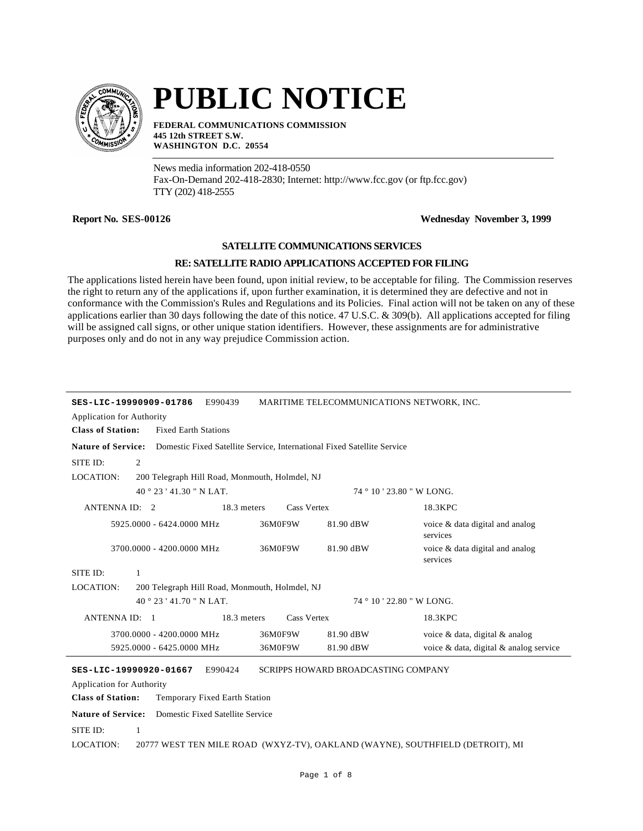

# **PUBLIC NOTICE**

**FEDERAL COMMUNICATIONS COMMISSION 445 12th STREET S.W. WASHINGTON D.C. 20554**

News media information 202-418-0550 Fax-On-Demand 202-418-2830; Internet: http://www.fcc.gov (or ftp.fcc.gov) TTY (202) 418-2555

# **Report No. SES-00126 Wednesday November 3, 1999**

### **SATELLITE COMMUNICATIONS SERVICES**

## **RE: SATELLITE RADIO APPLICATIONS ACCEPTED FOR FILING**

The applications listed herein have been found, upon initial review, to be acceptable for filing. The Commission reserves the right to return any of the applications if, upon further examination, it is determined they are defective and not in conformance with the Commission's Rules and Regulations and its Policies. Final action will not be taken on any of these applications earlier than 30 days following the date of this notice. 47 U.S.C. & 309(b). All applications accepted for filing will be assigned call signs, or other unique station identifiers. However, these assignments are for administrative purposes only and do not in any way prejudice Commission action.

| SES-LIC-19990909-01786<br><b>Application for Authority</b>                                           |                                                | E990439                                         |                    | MARITIME TELECOMMUNICATIONS NETWORK, INC. |                                             |  |
|------------------------------------------------------------------------------------------------------|------------------------------------------------|-------------------------------------------------|--------------------|-------------------------------------------|---------------------------------------------|--|
| <b>Class of Station:</b>                                                                             | <b>Fixed Earth Stations</b>                    |                                                 |                    |                                           |                                             |  |
| <b>Nature of Service:</b><br>Domestic Fixed Satellite Service, International Fixed Satellite Service |                                                |                                                 |                    |                                           |                                             |  |
| SITE ID:                                                                                             | 2                                              |                                                 |                    |                                           |                                             |  |
| <b>LOCATION:</b>                                                                                     | 200 Telegraph Hill Road, Monmouth, Holmdel, NJ |                                                 |                    |                                           |                                             |  |
|                                                                                                      | 40 ° 23 ' 41.30 " N LAT.                       |                                                 |                    | 74 ° 10 ' 23.80 " W LONG.                 |                                             |  |
| ANTENNA ID: 2                                                                                        |                                                | 18.3 meters                                     | Cass Vertex        |                                           | 18.3KPC                                     |  |
|                                                                                                      | 5925,0000 - 6424,0000 MHz                      |                                                 | 36M0F9W            | 81.90 dBW                                 | voice & data digital and analog<br>services |  |
|                                                                                                      | 3700.0000 - 4200.0000 MHz                      |                                                 | 36M0F9W            | 81.90 dBW                                 | voice & data digital and analog<br>services |  |
| SITE ID:                                                                                             | 1                                              |                                                 |                    |                                           |                                             |  |
| <b>LOCATION:</b>                                                                                     | 200 Telegraph Hill Road, Monmouth, Holmdel, NJ |                                                 |                    |                                           |                                             |  |
|                                                                                                      | $40^{\circ}$ 23 ' 41.70 " N LAT.               |                                                 |                    | 74 ° 10 ' 22.80 " W LONG.                 |                                             |  |
| <b>ANTENNA ID:</b>                                                                                   | $\overline{1}$                                 | 18.3 meters                                     | <b>Cass Vertex</b> |                                           | 18.3KPC                                     |  |
|                                                                                                      | 3700.0000 - 4200.0000 MHz                      |                                                 | 36M0F9W            | 81.90 dBW                                 | voice & data, digital & analog              |  |
|                                                                                                      | 5925,0000 - 6425,0000 MHz                      |                                                 | 36M0F9W            | 81.90 dBW                                 | voice & data, digital & analog service      |  |
| SES-LIC-19990920-01667<br><b>Application for Authority</b><br><b>Class of Station:</b>               |                                                | E990424<br><b>Temporary Fixed Earth Station</b> |                    | SCRIPPS HOWARD BROADCASTING COMPANY       |                                             |  |

**Nature of Service:** Domestic Fixed Satellite Service LOCATION: SITE ID: 1 20777 WEST TEN MILE ROAD (WXYZ-TV), OAKLAND (WAYNE), SOUTHFIELD (DETROIT), MI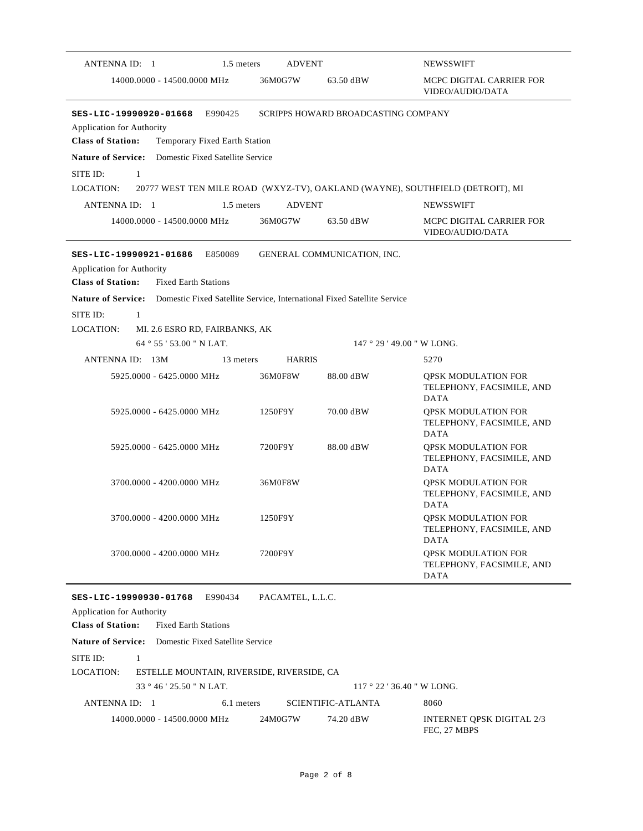| ANTENNA ID: 1<br>1.5 meters                                                                                                      | <b>ADVENT</b>    |                                     | <b>NEWSSWIFT</b>                                                              |
|----------------------------------------------------------------------------------------------------------------------------------|------------------|-------------------------------------|-------------------------------------------------------------------------------|
| 14000.0000 - 14500.0000 MHz                                                                                                      | 36M0G7W          | 63.50 dBW                           | MCPC DIGITAL CARRIER FOR<br>VIDEO/AUDIO/DATA                                  |
| SES-LIC-19990920-01668<br>E990425<br>Application for Authority<br><b>Class of Station:</b><br>Temporary Fixed Earth Station      |                  | SCRIPPS HOWARD BROADCASTING COMPANY |                                                                               |
| <b>Nature of Service:</b><br>Domestic Fixed Satellite Service                                                                    |                  |                                     |                                                                               |
| SITE ID:<br>1                                                                                                                    |                  |                                     |                                                                               |
| LOCATION:                                                                                                                        |                  |                                     | 20777 WEST TEN MILE ROAD (WXYZ-TV), OAKLAND (WAYNE), SOUTHFIELD (DETROIT), MI |
| 1.5 meters<br>ANTENNA ID: 1                                                                                                      | <b>ADVENT</b>    |                                     | <b>NEWSSWIFT</b>                                                              |
| 14000.0000 - 14500.0000 MHz                                                                                                      | 36M0G7W          | 63.50 dBW                           | MCPC DIGITAL CARRIER FOR<br>VIDEO/AUDIO/DATA                                  |
| E850089<br>SES-LIC-19990921-01686<br><b>Application for Authority</b><br><b>Class of Station:</b><br><b>Fixed Earth Stations</b> |                  | GENERAL COMMUNICATION, INC.         |                                                                               |
| <b>Nature of Service:</b> Domestic Fixed Satellite Service, International Fixed Satellite Service                                |                  |                                     |                                                                               |
| SITE ID:<br>$\mathbf{1}$                                                                                                         |                  |                                     |                                                                               |
| LOCATION:<br>MI. 2.6 ESRO RD, FAIRBANKS, AK                                                                                      |                  |                                     |                                                                               |
| 64°55'53.00" N LAT.                                                                                                              |                  |                                     | 147 ° 29 ' 49.00 " W LONG.                                                    |
| ANTENNA ID: 13M<br>13 meters                                                                                                     | <b>HARRIS</b>    |                                     | 5270                                                                          |
| 5925,0000 - 6425,0000 MHz                                                                                                        | 36M0F8W          | 88.00 dBW                           | <b>QPSK MODULATION FOR</b><br>TELEPHONY, FACSIMILE, AND<br><b>DATA</b>        |
| 5925.0000 - 6425.0000 MHz                                                                                                        | 1250F9Y          | 70.00 dBW                           | <b>QPSK MODULATION FOR</b><br>TELEPHONY, FACSIMILE, AND<br><b>DATA</b>        |
| 5925.0000 - 6425.0000 MHz                                                                                                        | 7200F9Y          | 88.00 dBW                           | <b>QPSK MODULATION FOR</b><br>TELEPHONY, FACSIMILE, AND<br><b>DATA</b>        |
| 3700.0000 - 4200.0000 MHz                                                                                                        | 36M0F8W          |                                     | <b>QPSK MODULATION FOR</b><br>TELEPHONY, FACSIMILE, AND<br><b>DATA</b>        |
| 3700.0000 - 4200.0000 MHz                                                                                                        | 1250F9Y          |                                     | <b>OPSK MODULATION FOR</b><br>TELEPHONY, FACSIMILE, AND<br><b>DATA</b>        |
| 3700.0000 - 4200.0000 MHz                                                                                                        | 7200F9Y          |                                     | <b>QPSK MODULATION FOR</b><br>TELEPHONY, FACSIMILE, AND<br><b>DATA</b>        |
| E990434<br>SES-LIC-19990930-01768                                                                                                | PACAMTEL, L.L.C. |                                     |                                                                               |
| <b>Application for Authority</b>                                                                                                 |                  |                                     |                                                                               |
| <b>Class of Station:</b><br><b>Fixed Earth Stations</b>                                                                          |                  |                                     |                                                                               |
| <b>Nature of Service:</b><br>Domestic Fixed Satellite Service                                                                    |                  |                                     |                                                                               |
| SITE ID:<br>$\mathbf{1}$                                                                                                         |                  |                                     |                                                                               |
| LOCATION:<br>ESTELLE MOUNTAIN, RIVERSIDE, RIVERSIDE, CA                                                                          |                  |                                     |                                                                               |
| 33 ° 46 ' 25.50 " N LAT.                                                                                                         |                  |                                     | $117°22'36.40"$ W LONG.                                                       |
| ANTENNA ID: 1<br>6.1 meters                                                                                                      |                  | <b>SCIENTIFIC-ATLANTA</b>           | 8060                                                                          |
| 14000.0000 - 14500.0000 MHz                                                                                                      | 24M0G7W          | 74.20 dBW                           | <b>INTERNET QPSK DIGITAL 2/3</b><br>FEC, 27 MBPS                              |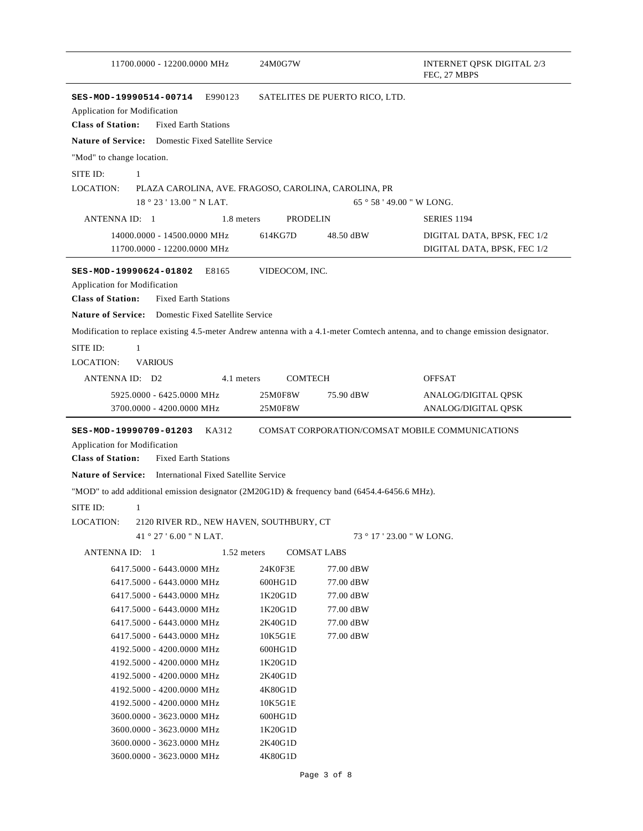|                                                                                                                                | 24M0G7W                           |                                | <b>INTERNET QPSK DIGITAL 2/3</b><br>FEC, 27 MBPS |
|--------------------------------------------------------------------------------------------------------------------------------|-----------------------------------|--------------------------------|--------------------------------------------------|
| SES-MOD-19990514-00714<br>E990123<br>Application for Modification<br><b>Class of Station:</b><br><b>Fixed Earth Stations</b>   |                                   | SATELITES DE PUERTO RICO, LTD. |                                                  |
| <b>Nature of Service:</b> Domestic Fixed Satellite Service                                                                     |                                   |                                |                                                  |
| "Mod" to change location.                                                                                                      |                                   |                                |                                                  |
| SITE ID:<br>1                                                                                                                  |                                   |                                |                                                  |
| LOCATION:<br>PLAZA CAROLINA, AVE. FRAGOSO, CAROLINA, CAROLINA, PR                                                              |                                   |                                |                                                  |
| $18°23'13.00''$ N LAT.                                                                                                         |                                   |                                | $65°58'49.00''$ W LONG.                          |
| ANTENNA ID: 1                                                                                                                  | 1.8 meters<br><b>PRODELIN</b>     |                                | <b>SERIES 1194</b>                               |
| 14000.0000 - 14500.0000 MHz                                                                                                    | 614KG7D                           | 48.50 dBW                      | DIGITAL DATA, BPSK, FEC 1/2                      |
| 11700.0000 - 12200.0000 MHz                                                                                                    |                                   |                                | DIGITAL DATA, BPSK, FEC 1/2                      |
| E8165<br>SES-MOD-19990624-01802                                                                                                | VIDEOCOM, INC.                    |                                |                                                  |
| <b>Application for Modification</b><br><b>Class of Station:</b><br><b>Fixed Earth Stations</b>                                 |                                   |                                |                                                  |
|                                                                                                                                |                                   |                                |                                                  |
| <b>Nature of Service:</b> Domestic Fixed Satellite Service                                                                     |                                   |                                |                                                  |
| Modification to replace existing 4.5-meter Andrew antenna with a 4.1-meter Comtech antenna, and to change emission designator. |                                   |                                |                                                  |
| SITE ID:<br>$\mathbf{1}$                                                                                                       |                                   |                                |                                                  |
| LOCATION:<br><b>VARIOUS</b>                                                                                                    |                                   |                                |                                                  |
| ANTENNA ID: D2                                                                                                                 | <b>COMTECH</b><br>4.1 meters      |                                | <b>OFFSAT</b>                                    |
| 5925.0000 - 6425.0000 MHz                                                                                                      | 25M0F8W                           | 75.90 dBW                      | ANALOG/DIGITAL QPSK                              |
| 3700.0000 - 4200.0000 MHz                                                                                                      | 25M0F8W                           |                                | ANALOG/DIGITAL QPSK                              |
| SES-MOD-19990709-01203<br>KA312<br>Application for Modification<br><b>Class of Station:</b><br><b>Fixed Earth Stations</b>     |                                   |                                | COMSAT CORPORATION/COMSAT MOBILE COMMUNICATIONS  |
| <b>Nature of Service:</b> International Fixed Satellite Service                                                                |                                   |                                |                                                  |
| "MOD" to add additional emission designator (2M20G1D) & frequency band (6454.4-6456.6 MHz).                                    |                                   |                                |                                                  |
|                                                                                                                                |                                   |                                |                                                  |
|                                                                                                                                |                                   |                                |                                                  |
| $\mathbf{1}$                                                                                                                   |                                   |                                |                                                  |
| 2120 RIVER RD., NEW HAVEN, SOUTHBURY, CT<br>41 $^{\circ}$ 27 $^{\prime}$ 6.00 " N LAT.                                         |                                   |                                | 73 ° 17 ' 23.00 " W LONG.                        |
| ANTENNA ID: 1                                                                                                                  | 1.52 meters<br><b>COMSAT LABS</b> |                                |                                                  |
|                                                                                                                                |                                   |                                |                                                  |
| 6417.5000 - 6443.0000 MHz<br>6417.5000 - 6443.0000 MHz                                                                         | 24K0F3E<br>600HG1D                | 77.00 dBW<br>77.00 dBW         |                                                  |
| 6417.5000 - 6443.0000 MHz                                                                                                      | 1K20G1D                           | 77.00 dBW                      |                                                  |
| 6417.5000 - 6443.0000 MHz                                                                                                      | 1K20G1D                           | 77.00 dBW                      |                                                  |
| 6417.5000 - 6443.0000 MHz                                                                                                      | 2K40G1D                           | 77.00 dBW                      |                                                  |
| 6417.5000 - 6443.0000 MHz                                                                                                      | 10K5G1E                           | 77.00 dBW                      |                                                  |
| 4192.5000 - 4200.0000 MHz                                                                                                      | 600HG1D                           |                                |                                                  |
| 4192.5000 - 4200.0000 MHz                                                                                                      | 1K20G1D                           |                                |                                                  |
| 4192.5000 - 4200.0000 MHz                                                                                                      | 2K40G1D                           |                                |                                                  |
| 4192.5000 - 4200.0000 MHz                                                                                                      | 4K80G1D                           |                                |                                                  |
| 4192.5000 - 4200.0000 MHz                                                                                                      | 10K5G1E                           |                                |                                                  |
| SITE ID:<br>LOCATION:<br>3600.0000 - 3623.0000 MHz                                                                             | 600HG1D                           |                                |                                                  |
| 3600.0000 - 3623.0000 MHz<br>3600.0000 - 3623.0000 MHz                                                                         | 1K20G1D<br>2K40G1D                |                                |                                                  |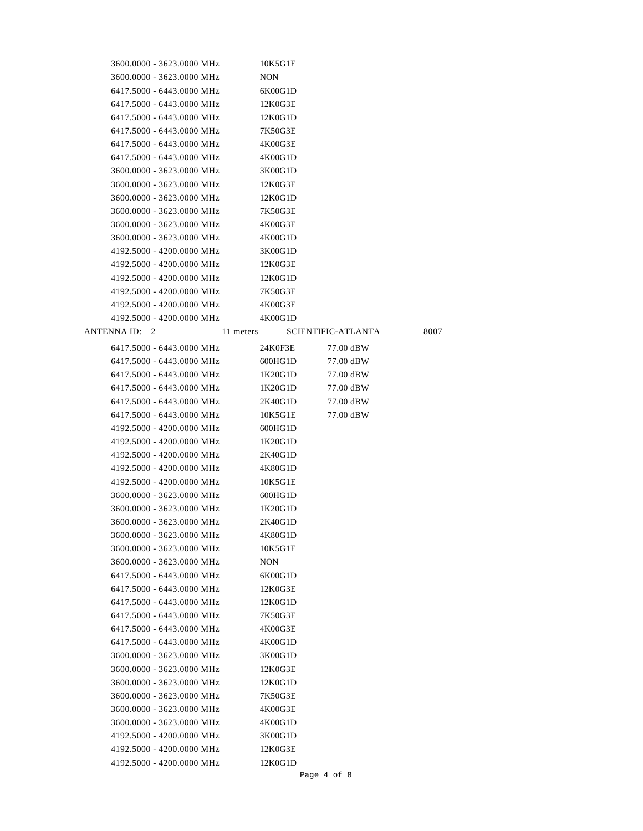| 3600.0000 - 3623.0000 MHz |            | 10K5G1E |                    |      |  |
|---------------------------|------------|---------|--------------------|------|--|
| 3600.0000 - 3623.0000 MHz | <b>NON</b> |         |                    |      |  |
| 6417.5000 - 6443.0000 MHz |            | 6K00G1D |                    |      |  |
| 6417.5000 - 6443.0000 MHz |            | 12K0G3E |                    |      |  |
| 6417.5000 - 6443.0000 MHz |            | 12K0G1D |                    |      |  |
| 6417.5000 - 6443.0000 MHz |            | 7K50G3E |                    |      |  |
| 6417.5000 - 6443.0000 MHz |            | 4K00G3E |                    |      |  |
| 6417.5000 - 6443.0000 MHz |            | 4K00G1D |                    |      |  |
| 3600.0000 - 3623.0000 MHz |            | 3K00G1D |                    |      |  |
| 3600.0000 - 3623.0000 MHz |            | 12K0G3E |                    |      |  |
| 3600.0000 - 3623.0000 MHz |            | 12K0G1D |                    |      |  |
| 3600.0000 - 3623.0000 MHz |            | 7K50G3E |                    |      |  |
| 3600.0000 - 3623.0000 MHz |            | 4K00G3E |                    |      |  |
| 3600.0000 - 3623.0000 MHz |            | 4K00G1D |                    |      |  |
| 4192.5000 - 4200.0000 MHz |            | 3K00G1D |                    |      |  |
| 4192.5000 - 4200.0000 MHz |            | 12K0G3E |                    |      |  |
| 4192.5000 - 4200.0000 MHz |            | 12K0G1D |                    |      |  |
| 4192.5000 - 4200.0000 MHz |            | 7K50G3E |                    |      |  |
| 4192.5000 - 4200.0000 MHz |            | 4K00G3E |                    |      |  |
| 4192.5000 - 4200.0000 MHz |            | 4K00G1D |                    |      |  |
| ANTENNA ID: 2             | 11 meters  |         | SCIENTIFIC-ATLANTA | 8007 |  |
| 6417.5000 - 6443.0000 MHz |            | 24K0F3E | 77.00 dBW          |      |  |
| 6417.5000 - 6443.0000 MHz |            | 600HG1D | 77.00 dBW          |      |  |
| 6417.5000 - 6443.0000 MHz |            | 1K20G1D | 77.00 dBW          |      |  |
| 6417.5000 - 6443.0000 MHz |            | 1K20G1D | 77.00 dBW          |      |  |
| 6417.5000 - 6443.0000 MHz |            | 2K40G1D | 77.00 dBW          |      |  |
| 6417.5000 - 6443.0000 MHz |            | 10K5G1E | 77.00 dBW          |      |  |
| 4192.5000 - 4200.0000 MHz |            | 600HG1D |                    |      |  |
| 4192.5000 - 4200.0000 MHz |            | 1K20G1D |                    |      |  |
| 4192.5000 - 4200.0000 MHz |            | 2K40G1D |                    |      |  |
| 4192.5000 - 4200.0000 MHz |            | 4K80G1D |                    |      |  |
| 4192.5000 - 4200.0000 MHz |            | 10K5G1E |                    |      |  |
| 3600.0000 - 3623.0000 MHz |            | 600HG1D |                    |      |  |
| 3600.0000 - 3623.0000 MHz |            | 1K20G1D |                    |      |  |
| 3600.0000 - 3623.0000 MHz |            | 2K40G1D |                    |      |  |
| 3600.0000 - 3623.0000 MHz |            | 4K80G1D |                    |      |  |
| 3600.0000 - 3623.0000 MHz |            | 10K5G1E |                    |      |  |
| 3600.0000 - 3623.0000 MHz | NON        |         |                    |      |  |
| 6417.5000 - 6443.0000 MHz |            | 6K00G1D |                    |      |  |
| 6417.5000 - 6443.0000 MHz |            | 12K0G3E |                    |      |  |
| 6417.5000 - 6443.0000 MHz |            | 12K0G1D |                    |      |  |
| 6417.5000 - 6443.0000 MHz |            | 7K50G3E |                    |      |  |
| 6417.5000 - 6443.0000 MHz |            | 4K00G3E |                    |      |  |
| 6417.5000 - 6443.0000 MHz |            | 4K00G1D |                    |      |  |
| 3600.0000 - 3623.0000 MHz |            | 3K00G1D |                    |      |  |
| 3600.0000 - 3623.0000 MHz |            | 12K0G3E |                    |      |  |
| 3600.0000 - 3623.0000 MHz |            | 12K0G1D |                    |      |  |
| 3600.0000 - 3623.0000 MHz |            | 7K50G3E |                    |      |  |
| 3600.0000 - 3623.0000 MHz |            | 4K00G3E |                    |      |  |
| 3600.0000 - 3623.0000 MHz |            | 4K00G1D |                    |      |  |
| 4192.5000 - 4200.0000 MHz |            | 3K00G1D |                    |      |  |
| 4192.5000 - 4200.0000 MHz |            | 12K0G3E |                    |      |  |
| 4192.5000 - 4200.0000 MHz |            | 12K0G1D |                    |      |  |
|                           |            |         | Page 4 of 8        |      |  |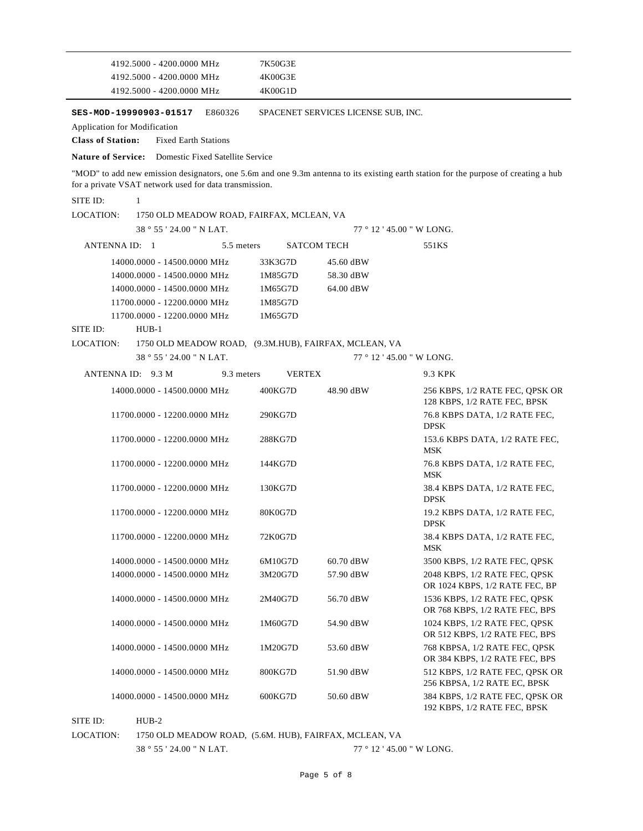| 4192.5000 - 4200.0000 MHz<br>4K00G3E                                                                                                                                                           |                                                                              |
|------------------------------------------------------------------------------------------------------------------------------------------------------------------------------------------------|------------------------------------------------------------------------------|
| 4192.5000 - 4200.0000 MHz<br>4K00G1D                                                                                                                                                           |                                                                              |
| E860326<br>SES-MOD-19990903-01517                                                                                                                                                              | SPACENET SERVICES LICENSE SUB, INC.                                          |
| <b>Application for Modification</b>                                                                                                                                                            |                                                                              |
| <b>Class of Station:</b><br><b>Fixed Earth Stations</b>                                                                                                                                        |                                                                              |
| <b>Nature of Service:</b> Domestic Fixed Satellite Service                                                                                                                                     |                                                                              |
| "MOD" to add new emission designators, one 5.6m and one 9.3m antenna to its existing earth station for the purpose of creating a hub<br>for a private VSAT network used for data transmission. |                                                                              |
| SITE ID:<br>$\mathbf{1}$                                                                                                                                                                       |                                                                              |
| <b>LOCATION:</b><br>1750 OLD MEADOW ROAD, FAIRFAX, MCLEAN, VA                                                                                                                                  |                                                                              |
| 38 ° 55 ' 24.00 " N LAT.                                                                                                                                                                       | $77°12'45.00"$ W LONG.                                                       |
| ANTENNA ID: 1<br>5.5 meters<br><b>SATCOM TECH</b>                                                                                                                                              | 551KS                                                                        |
| 33K3G7D<br>14000.0000 - 14500.0000 MHz                                                                                                                                                         | 45.60 dBW                                                                    |
| 1M85G7D<br>14000.0000 - 14500.0000 MHz                                                                                                                                                         | 58.30 dBW                                                                    |
| 14000.0000 - 14500.0000 MHz<br>1M65G7D                                                                                                                                                         | 64.00 dBW                                                                    |
| 11700.0000 - 12200.0000 MHz<br>1M85G7D                                                                                                                                                         |                                                                              |
| 11700.0000 - 12200.0000 MHz<br>1M65G7D                                                                                                                                                         |                                                                              |
| SITE ID:<br>$HUB-1$                                                                                                                                                                            |                                                                              |
| LOCATION:<br>1750 OLD MEADOW ROAD, (9.3M.HUB), FAIRFAX, MCLEAN, VA                                                                                                                             |                                                                              |
| 38 ° 55 ' 24.00 " N LAT.                                                                                                                                                                       | 77 ° 12 ' 45.00 " W LONG.                                                    |
| ANTENNA ID: 9.3 M<br>9.3 meters<br><b>VERTEX</b>                                                                                                                                               | 9.3 KPK                                                                      |
| 14000.0000 - 14500.0000 MHz<br>400KG7D                                                                                                                                                         | 48.90 dBW<br>256 KBPS, 1/2 RATE FEC, QPSK OR<br>128 KBPS, 1/2 RATE FEC, BPSK |
| 11700.0000 - 12200.0000 MHz<br>290KG7D                                                                                                                                                         | 76.8 KBPS DATA, 1/2 RATE FEC,<br><b>DPSK</b>                                 |
| 11700.0000 - 12200.0000 MHz<br>288KG7D                                                                                                                                                         | 153.6 KBPS DATA, 1/2 RATE FEC,<br>MSK                                        |
| 11700.0000 - 12200.0000 MHz<br>144KG7D                                                                                                                                                         | 76.8 KBPS DATA, 1/2 RATE FEC,<br><b>MSK</b>                                  |
| 11700.0000 - 12200.0000 MHz<br>130KG7D                                                                                                                                                         | 38.4 KBPS DATA, 1/2 RATE FEC,<br><b>DPSK</b>                                 |
| 11700.0000 - 12200.0000 MHz<br>80K0G7D                                                                                                                                                         | 19.2 KBPS DATA, 1/2 RATE FEC,<br><b>DPSK</b>                                 |
| 11700.0000 - 12200.0000 MHz<br>72K0G7D                                                                                                                                                         | 38.4 KBPS DATA, 1/2 RATE FEC,<br><b>MSK</b>                                  |
| 14000.0000 - 14500.0000 MHz<br>6M10G7D                                                                                                                                                         | 60.70 dBW<br>3500 KBPS, 1/2 RATE FEC, QPSK                                   |
| 14000.0000 - 14500.0000 MHz<br>3M20G7D                                                                                                                                                         | 57.90 dBW<br>2048 KBPS, 1/2 RATE FEC, QPSK<br>OR 1024 KBPS, 1/2 RATE FEC, BP |
| 14000.0000 - 14500.0000 MHz<br>2M40G7D                                                                                                                                                         | 56.70 dBW<br>1536 KBPS, 1/2 RATE FEC, QPSK<br>OR 768 KBPS, 1/2 RATE FEC, BPS |
| 14000.0000 - 14500.0000 MHz<br>1M60G7D                                                                                                                                                         | 1024 KBPS, 1/2 RATE FEC, QPSK<br>54.90 dBW<br>OR 512 KBPS, 1/2 RATE FEC, BPS |
| 14000.0000 - 14500.0000 MHz<br>1M20G7D                                                                                                                                                         | 768 KBPSA, 1/2 RATE FEC, QPSK<br>53.60 dBW<br>OR 384 KBPS, 1/2 RATE FEC, BPS |
| 14000.0000 - 14500.0000 MHz<br>800KG7D                                                                                                                                                         | 512 KBPS, 1/2 RATE FEC, QPSK OR<br>51.90 dBW<br>256 KBPSA, 1/2 RATE EC, BPSK |
| 14000.0000 - 14500.0000 MHz<br>600KG7D                                                                                                                                                         | 384 KBPS, 1/2 RATE FEC, QPSK OR<br>50.60 dBW                                 |

SITE ID: HUB-2

LOCATION: 1750 OLD MEADOW ROAD, (5.6M. HUB), FAIRFAX, MCLEAN, VA

38 ° 55 ' 24.00 " N LAT.

 $77$   $^{\circ}$  12  $^{\prime}$  45.00  $^{\prime\prime}$  W LONG.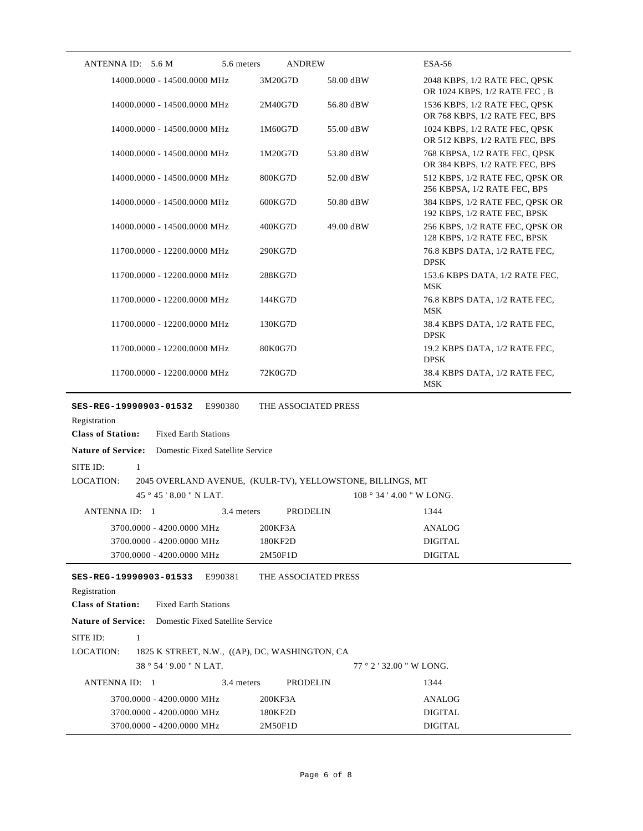| ANTENNA ID: 5.6 M<br>5.6 meters                                                                              | <b>ANDREW</b>        |           | <b>ESA-56</b>                                                   |
|--------------------------------------------------------------------------------------------------------------|----------------------|-----------|-----------------------------------------------------------------|
| 14000.0000 - 14500.0000 MHz                                                                                  | 3M20G7D              | 58.00 dBW | 2048 KBPS, 1/2 RATE FEC, QPSK<br>OR 1024 KBPS, 1/2 RATE FEC, B  |
| 14000.0000 - 14500.0000 MHz                                                                                  | 2M40G7D              | 56.80 dBW | 1536 KBPS, 1/2 RATE FEC, QPSK<br>OR 768 KBPS, 1/2 RATE FEC, BPS |
| 14000.0000 - 14500.0000 MHz                                                                                  | 1M60G7D              | 55.00 dBW | 1024 KBPS, 1/2 RATE FEC, QPSK<br>OR 512 KBPS, 1/2 RATE FEC, BPS |
| 14000.0000 - 14500.0000 MHz                                                                                  | 1M20G7D              | 53.80 dBW | 768 KBPSA, 1/2 RATE FEC, QPSK<br>OR 384 KBPS, 1/2 RATE FEC, BPS |
| 14000.0000 - 14500.0000 MHz                                                                                  | 800KG7D              | 52.00 dBW | 512 KBPS, 1/2 RATE FEC, QPSK OR<br>256 KBPSA, 1/2 RATE FEC, BPS |
| 14000.0000 - 14500.0000 MHz                                                                                  | 600KG7D              | 50.80 dBW | 384 KBPS, 1/2 RATE FEC, QPSK OR<br>192 KBPS, 1/2 RATE FEC, BPSK |
| 14000.0000 - 14500.0000 MHz                                                                                  | 400KG7D              | 49.00 dBW | 256 KBPS, 1/2 RATE FEC, QPSK OR<br>128 KBPS, 1/2 RATE FEC, BPSK |
| 11700.0000 - 12200.0000 MHz                                                                                  | 290KG7D              |           | 76.8 KBPS DATA, 1/2 RATE FEC,<br><b>DPSK</b>                    |
| 11700.0000 - 12200.0000 MHz                                                                                  | 288KG7D              |           | 153.6 KBPS DATA, 1/2 RATE FEC,<br><b>MSK</b>                    |
| 11700.0000 - 12200.0000 MHz                                                                                  | 144KG7D              |           | 76.8 KBPS DATA, 1/2 RATE FEC,<br><b>MSK</b>                     |
| 11700.0000 - 12200.0000 MHz                                                                                  | 130KG7D              |           | 38.4 KBPS DATA, 1/2 RATE FEC,<br><b>DPSK</b>                    |
| 11700.0000 - 12200.0000 MHz                                                                                  | 80K0G7D              |           | 19.2 KBPS DATA, 1/2 RATE FEC,<br><b>DPSK</b>                    |
| 11700.0000 - 12200.0000 MHz                                                                                  | 72K0G7D              |           | 38.4 KBPS DATA, 1/2 RATE FEC,<br><b>MSK</b>                     |
| SES-REG-19990903-01532<br>E990380<br>Registration<br><b>Class of Station:</b><br><b>Fixed Earth Stations</b> | THE ASSOCIATED PRESS |           |                                                                 |
| <b>Nature of Service:</b><br>Domestic Fixed Satellite Service                                                |                      |           |                                                                 |
| SITE ID:<br>1                                                                                                |                      |           |                                                                 |
| <b>LOCATION:</b><br>2045 OVERLAND AVENUE, (KULR-TV), YELLOWSTONE, BILLINGS, MT                               |                      |           |                                                                 |
| 45°45'8.00" N LAT.                                                                                           |                      |           | 108 ° 34 ' 4.00 " W LONG.                                       |
| ANTENNA ID: 1<br>3.4 meters                                                                                  | <b>PRODELIN</b>      |           | 1344                                                            |
| 3700.0000 - 4200.0000 MHz                                                                                    | 200KF3A              |           | <b>ANALOG</b>                                                   |
| 3700.0000 - 4200.0000 MHz                                                                                    | 180KF2D              |           | <b>DIGITAL</b>                                                  |
| 3700.0000 - 4200.0000 MHz                                                                                    | 2M50F1D              |           | <b>DIGITAL</b>                                                  |
| SES-REG-19990903-01533<br>E990381                                                                            | THE ASSOCIATED PRESS |           |                                                                 |
| Registration                                                                                                 |                      |           |                                                                 |
| <b>Class of Station:</b><br><b>Fixed Earth Stations</b>                                                      |                      |           |                                                                 |
| <b>Nature of Service:</b><br>Domestic Fixed Satellite Service                                                |                      |           |                                                                 |
| SITE ID:<br>$\mathbf{1}$                                                                                     |                      |           |                                                                 |
| LOCATION:<br>1825 K STREET, N.W., ((AP), DC, WASHINGTON, CA                                                  |                      |           |                                                                 |
| 38°54'9.00" N LAT.                                                                                           |                      |           | $77°$ 2 ' 32.00 " W LONG.                                       |
| ANTENNA ID: 1<br>3.4 meters                                                                                  | <b>PRODELIN</b>      |           | 1344                                                            |
| 3700.0000 - 4200.0000 MHz                                                                                    | 200KF3A              |           | ANALOG                                                          |
| 3700.0000 - 4200.0000 MHz                                                                                    | 180KF2D              |           | <b>DIGITAL</b>                                                  |
| 3700.0000 - 4200.0000 MHz                                                                                    | 2M50F1D              |           | <b>DIGITAL</b>                                                  |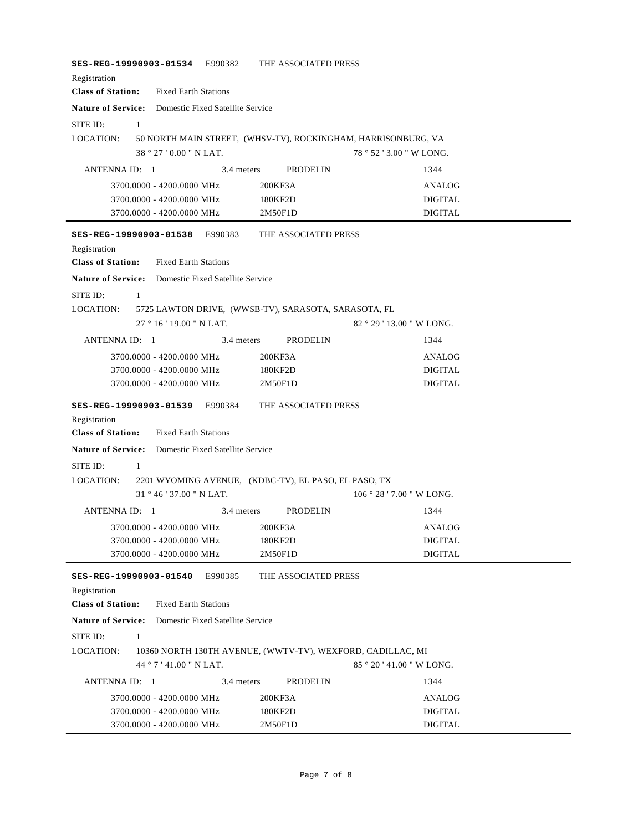| SES-REG-19990903-01534 E990382                                                                                                                                                | THE ASSOCIATED PRESS                                          |                           |  |
|-------------------------------------------------------------------------------------------------------------------------------------------------------------------------------|---------------------------------------------------------------|---------------------------|--|
| Registration                                                                                                                                                                  |                                                               |                           |  |
| <b>Class of Station:</b><br><b>Fixed Earth Stations</b>                                                                                                                       |                                                               |                           |  |
| <b>Nature of Service:</b> Domestic Fixed Satellite Service                                                                                                                    |                                                               |                           |  |
| SITE ID:<br>1                                                                                                                                                                 |                                                               |                           |  |
| LOCATION:                                                                                                                                                                     | 50 NORTH MAIN STREET, (WHSV-TV), ROCKINGHAM, HARRISONBURG, VA |                           |  |
| 38 ° 27 '0.00 " N LAT.                                                                                                                                                        |                                                               | 78 ° 52 ' 3.00 " W LONG.  |  |
| ANTENNA ID: 1                                                                                                                                                                 | 3.4 meters<br>PRODELIN                                        | 1344                      |  |
| 3700.0000 - 4200.0000 MHz                                                                                                                                                     | 200KF3A                                                       | ANALOG                    |  |
| 3700.0000 - 4200.0000 MHz                                                                                                                                                     | 180KF2D                                                       | <b>DIGITAL</b>            |  |
| 3700.0000 - 4200.0000 MHz                                                                                                                                                     | 2M50F1D                                                       | <b>DIGITAL</b>            |  |
| SES-REG-19990903-01538 E990383<br>Registration<br><b>Class of Station:</b><br><b>Fixed Earth Stations</b><br><b>Nature of Service:</b> Domestic Fixed Satellite Service       | THE ASSOCIATED PRESS                                          |                           |  |
| SITE ID:<br>$\mathbf{1}$                                                                                                                                                      |                                                               |                           |  |
| LOCATION:                                                                                                                                                                     | 5725 LAWTON DRIVE, (WWSB-TV), SARASOTA, SARASOTA, FL          |                           |  |
| 27°16'19.00"N LAT.                                                                                                                                                            |                                                               | $82°29'13.00''$ W LONG.   |  |
| ANTENNA ID: 1                                                                                                                                                                 | 3.4 meters<br>PRODELIN                                        | 1344                      |  |
| 3700.0000 - 4200.0000 MHz                                                                                                                                                     | 200KF3A                                                       | <b>ANALOG</b>             |  |
| 3700.0000 - 4200.0000 MHz                                                                                                                                                     | 180KF2D                                                       | <b>DIGITAL</b>            |  |
| 3700.0000 - 4200.0000 MHz                                                                                                                                                     | 2M50F1D                                                       | <b>DIGITAL</b>            |  |
| Registration<br><b>Class of Station:</b><br><b>Fixed Earth Stations</b><br><b>Nature of Service:</b> Domestic Fixed Satellite Service<br>SITE ID:<br>1<br>LOCATION:           | 2201 WYOMING AVENUE, (KDBC-TV), EL PASO, EL PASO, TX          |                           |  |
| 31°46'37.00" N LAT.                                                                                                                                                           |                                                               | 106 ° 28 ' 7.00 " W LONG. |  |
| ANTENNA ID: 1                                                                                                                                                                 | 3.4 meters<br>PRODELIN                                        | 1344                      |  |
| 3700.0000 - 4200.0000 MHz                                                                                                                                                     | 200KF3A                                                       | ANALOG                    |  |
| 3700.0000 - 4200.0000 MHz                                                                                                                                                     | 180KF2D                                                       | <b>DIGITAL</b>            |  |
| 3700.0000 - 4200.0000 MHz                                                                                                                                                     | 2M50F1D                                                       | <b>DIGITAL</b>            |  |
| SES-REG-19990903-01540<br>E990385<br>Registration<br><b>Class of Station:</b><br><b>Fixed Earth Stations</b><br><b>Nature of Service:</b><br>Domestic Fixed Satellite Service | THE ASSOCIATED PRESS                                          |                           |  |
|                                                                                                                                                                               |                                                               |                           |  |
| SITE ID:<br>1<br>LOCATION:                                                                                                                                                    | 10360 NORTH 130TH AVENUE, (WWTV-TV), WEXFORD, CADILLAC, MI    | 85 ° 20 ' 41.00 " W LONG. |  |
|                                                                                                                                                                               |                                                               |                           |  |
| 44 ° 7 ' 41.00 " N LAT.                                                                                                                                                       |                                                               |                           |  |
| ANTENNA ID: 1                                                                                                                                                                 | 3.4 meters<br><b>PRODELIN</b>                                 | 1344                      |  |
| 3700.0000 - 4200.0000 MHz<br>3700.0000 - 4200.0000 MHz                                                                                                                        | 200KF3A<br>180KF2D                                            | ANALOG<br><b>DIGITAL</b>  |  |